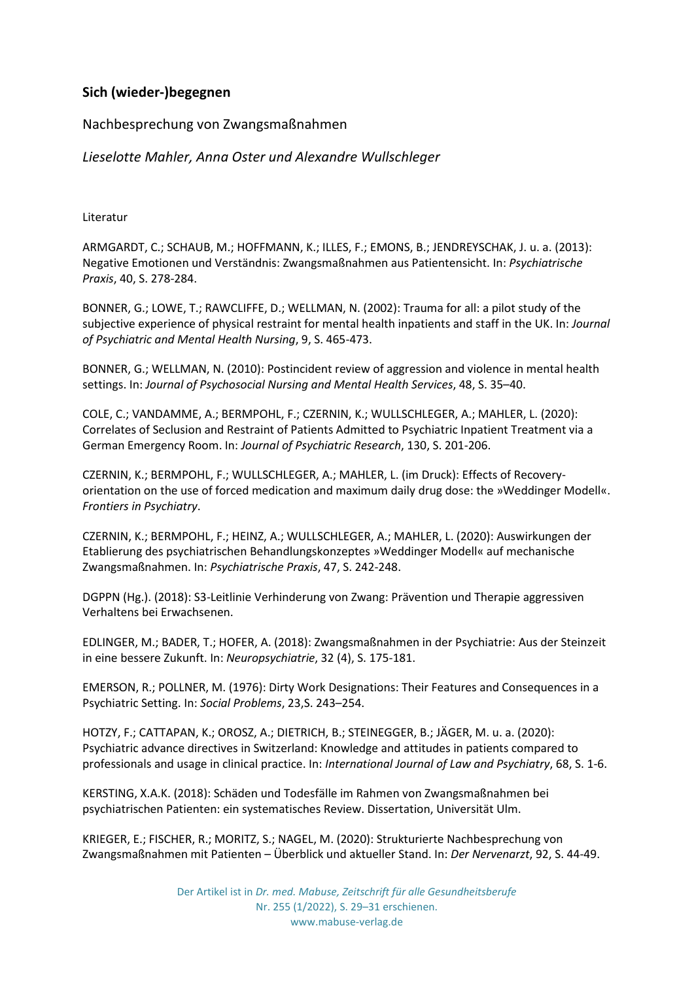## **Sich (wieder-)begegnen**

## Nachbesprechung von Zwangsmaßnahmen

*Lieselotte Mahler, Anna Oster und Alexandre Wullschleger*

Literatur

ARMGARDT, C.; SCHAUB, M.; HOFFMANN, K.; ILLES, F.; EMONS, B.; JENDREYSCHAK, J. u. a. (2013): Negative Emotionen und Verständnis: Zwangsmaßnahmen aus Patientensicht. In: *Psychiatrische Praxis*, 40, S. 278-284.

BONNER, G.; LOWE, T.; RAWCLIFFE, D.; WELLMAN, N. (2002): Trauma for all: a pilot study of the subjective experience of physical restraint for mental health inpatients and staff in the UK. In: *Journal of Psychiatric and Mental Health Nursing*, 9, S. 465-473.

BONNER, G.; WELLMAN, N. (2010): Postincident review of aggression and violence in mental health settings. In: *Journal of Psychosocial Nursing and Mental Health Services*, 48, S. 35–40.

COLE, C.; VANDAMME, A.; BERMPOHL, F.; CZERNIN, K.; WULLSCHLEGER, A.; MAHLER, L. (2020): Correlates of Seclusion and Restraint of Patients Admitted to Psychiatric Inpatient Treatment via a German Emergency Room. In: *Journal of Psychiatric Research*, 130, S. 201-206.

CZERNIN, K.; BERMPOHL, F.; WULLSCHLEGER, A.; MAHLER, L. (im Druck): Effects of Recoveryorientation on the use of forced medication and maximum daily drug dose: the »Weddinger Modell«. *Frontiers in Psychiatry*.

CZERNIN, K.; BERMPOHL, F.; HEINZ, A.; WULLSCHLEGER, A.; MAHLER, L. (2020): Auswirkungen der Etablierung des psychiatrischen Behandlungskonzeptes »Weddinger Modell« auf mechanische Zwangsmaßnahmen. In: *Psychiatrische Praxis*, 47, S. 242-248.

DGPPN (Hg.). (2018): S3-Leitlinie Verhinderung von Zwang: Prävention und Therapie aggressiven Verhaltens bei Erwachsenen.

EDLINGER, M.; BADER, T.; HOFER, A. (2018): Zwangsmaßnahmen in der Psychiatrie: Aus der Steinzeit in eine bessere Zukunft. In: *Neuropsychiatrie*, 32 (4), S. 175-181.

EMERSON, R.; POLLNER, M. (1976): Dirty Work Designations: Their Features and Consequences in a Psychiatric Setting. In: *Social Problems*, 23,S. 243–254.

HOTZY, F.; CATTAPAN, K.; OROSZ, A.; DIETRICH, B.; STEINEGGER, B.; JÄGER, M. u. a. (2020): Psychiatric advance directives in Switzerland: Knowledge and attitudes in patients compared to professionals and usage in clinical practice. In: *International Journal of Law and Psychiatry*, 68, S. 1-6.

KERSTING, X.A.K. (2018): Schäden und Todesfälle im Rahmen von Zwangsmaßnahmen bei psychiatrischen Patienten: ein systematisches Review. Dissertation, Universität Ulm.

KRIEGER, E.; FISCHER, R.; MORITZ, S.; NAGEL, M. (2020): Strukturierte Nachbesprechung von Zwangsmaßnahmen mit Patienten – Überblick und aktueller Stand. In: *Der Nervenarzt*, 92, S. 44-49.

> Der Artikel ist in *Dr. med. Mabuse, Zeitschrift für alle Gesundheitsberufe* Nr. 255 (1/2022), S. 29–31 erschienen. www.mabuse-verlag.de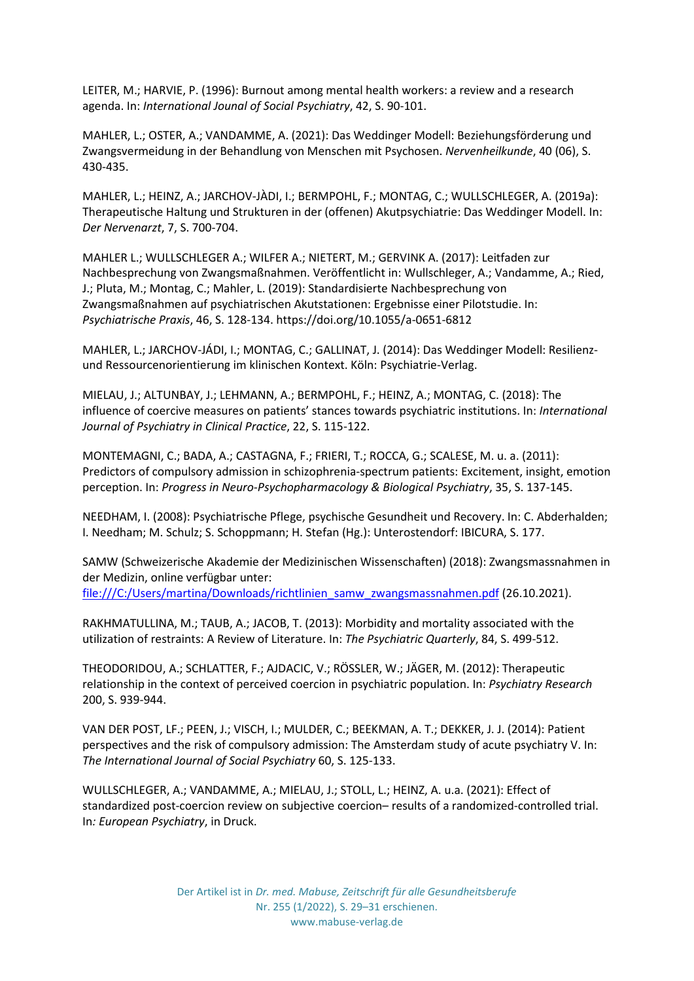LEITER, M.; HARVIE, P. (1996): Burnout among mental health workers: a review and a research agenda. In: *International Jounal of Social Psychiatry*, 42, S. 90-101.

MAHLER, L.; OSTER, A.; VANDAMME, A. (2021): Das Weddinger Modell: Beziehungsförderung und Zwangsvermeidung in der Behandlung von Menschen mit Psychosen. *Nervenheilkunde*, 40 (06), S. 430-435.

MAHLER, L.; HEINZ, A.; JARCHOV-JÀDI, I.; BERMPOHL, F.; MONTAG, C.; WULLSCHLEGER, A. (2019a): Therapeutische Haltung und Strukturen in der (offenen) Akutpsychiatrie: Das Weddinger Modell. In: *Der Nervenarzt*, 7, S. 700-704.

MAHLER L.; WULLSCHLEGER A.; WILFER A.; NIETERT, M.; GERVINK A. (2017): Leitfaden zur Nachbesprechung von Zwangsmaßnahmen. Veröffentlicht in: Wullschleger, A.; Vandamme, A.; Ried, J.; Pluta, M.; Montag, C.; Mahler, L. (2019): Standardisierte Nachbesprechung von Zwangsmaßnahmen auf psychiatrischen Akutstationen: Ergebnisse einer Pilotstudie. In: *Psychiatrische Praxis*, 46, S. 128-134. https://doi.org/10.1055/a-0651-6812

MAHLER, L.; JARCHOV-JÁDI, I.; MONTAG, C.; GALLINAT, J. (2014): Das Weddinger Modell: Resilienzund Ressourcenorientierung im klinischen Kontext. Köln: Psychiatrie-Verlag.

MIELAU, J.; ALTUNBAY, J.; LEHMANN, A.; BERMPOHL, F.; HEINZ, A.; MONTAG, C. (2018): The influence of coercive measures on patients' stances towards psychiatric institutions. In: *International Journal of Psychiatry in Clinical Practice*, 22, S. 115-122.

MONTEMAGNI, C.; BADA, A.; CASTAGNA, F.; FRIERI, T.; ROCCA, G.; SCALESE, M. u. a. (2011): Predictors of compulsory admission in schizophrenia-spectrum patients: Excitement, insight, emotion perception. In: *Progress in Neuro-Psychopharmacology & Biological Psychiatry*, 35, S. 137-145.

NEEDHAM, I. (2008): Psychiatrische Pflege, psychische Gesundheit und Recovery. In: C. Abderhalden; I. Needham; M. Schulz; S. Schoppmann; H. Stefan (Hg.): Unterostendorf: IBICURA, S. 177.

SAMW (Schweizerische Akademie der Medizinischen Wissenschaften) (2018): Zwangsmassnahmen in der Medizin, online verfügbar unter: file:///C:/Users/martina/Downloads/richtlinien\_samw\_zwangsmassnahmen.pdf (26.10.2021).

RAKHMATULLINA, M.; TAUB, A.; JACOB, T. (2013): Morbidity and mortality associated with the utilization of restraints: A Review of Literature. In: *The Psychiatric Quarterly*, 84, S. 499-512.

THEODORIDOU, A.; SCHLATTER, F.; AJDACIC, V.; RÖSSLER, W.; JÄGER, M. (2012): Therapeutic relationship in the context of perceived coercion in psychiatric population. In: *Psychiatry Research* 200, S. 939-944.

VAN DER POST, LF.; PEEN, J.; VISCH, I.; MULDER, C.; BEEKMAN, A. T.; DEKKER, J. J. (2014): Patient perspectives and the risk of compulsory admission: The Amsterdam study of acute psychiatry V. In: *The International Journal of Social Psychiatry* 60, S. 125-133.

WULLSCHLEGER, A.; VANDAMME, A.; MIELAU, J.; STOLL, L.; HEINZ, A. u.a. (2021): Effect of standardized post-coercion review on subjective coercion– results of a randomized-controlled trial. In*: European Psychiatry*, in Druck.